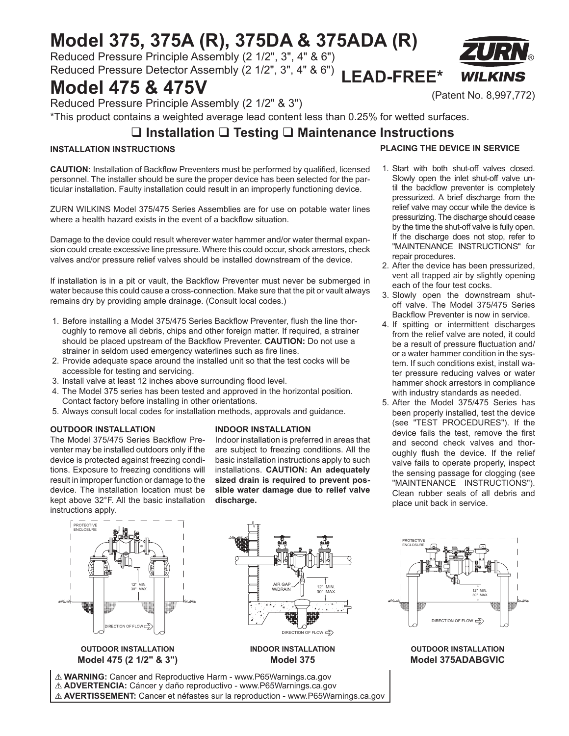# **Model 375, 375A (R), 375DA & 375ADA (R)**

Reduced Pressure Detector Assembly (2 1/2", 3", 4" & 6")<br>**Modol 47E & 47EV** Reduced Pressure Principle Assembly (2 1/2", 3", 4" & 6")

# **Model 475 & 475V**

Reduced Pressure Principle Assembly (2 1/2" & 3")

\*This product contains a weighted average lead content less than 0.25% for wetted surfaces.

### **Installation Testing Maintenance Instructions**

#### **INSTALLATION INSTRUCTIONS**

**CAUTION:** Installation of Backflow Preventers must be performed by qualified, licensed personnel. The installer should be sure the proper device has been selected for the particular installation. Faulty installation could result in an improperly functioning device.

ZURN WILKINS Model 375/475 Series Assemblies are for use on potable water lines where a health hazard exists in the event of a backflow situation.

Damage to the device could result wherever water hammer and/or water thermal expansion could create excessive line pressure. Where this could occur, shock arrestors, check valves and/or pressure relief valves should be installed downstream of the device.

If installation is in a pit or vault, the Backflow Preventer must never be submerged in water because this could cause a cross-connection. Make sure that the pit or vault always remains dry by providing ample drainage. (Consult local codes.)

- 1. Before installing a Model 375/475 Series Backflow Preventer, flush the line thoroughly to remove all debris, chips and other foreign matter. If required, a strainer should be placed upstream of the Backflow Preventer. **CAUTION:** Do not use a strainer in seldom used emergency waterlines such as fire lines.
- 2. Provide adequate space around the installed unit so that the test cocks will be accessible for testing and servicing.
- 3. Install valve at least 12 inches above surrounding flood level.
- 4. The Model 375 series has been tested and approved in the horizontal position. Contact factory before installing in other orientations.
- 5. Always consult local codes for installation methods, approvals and guidance.

#### **OUTDOOR INSTALLATION**

The Model 375/475 Series Backflow Preventer may be installed outdoors only if the device is protected against freezing conditions. Exposure to freezing conditions will result in improper function or damage to the device. The installation location must be kept above 32°F. All the basic installation instructions apply.

#### **INDOOR INSTALLATION**

Indoor installation is preferred in areas that are subject to freezing conditions. All the basic installation instructions apply to such installations. **CAUTION: An adequately sized drain is required to prevent possible water damage due to relief valve discharge.**

#### **PLACING THE DEVICE IN SERVICE**

- 1. Start with both shut-off valves closed. Slowly open the inlet shut-off valve until the backflow preventer is completely pressurized. A brief discharge from the relief valve may occur while the device is pressurizing. The discharge should cease by the time the shut-off valve is fully open. If the discharge does not stop, refer to "MAINTENANCE INSTRUCTIONS" for repair procedures.
- 2. After the device has been pressurized, vent all trapped air by slightly opening each of the four test cocks.
- 3. Slowly open the downstream shutoff valve. The Model 375/475 Series Backflow Preventer is now in service.
- 4. If spitting or intermittent discharges from the relief valve are noted, it could be a result of pressure fluctuation and/ or a water hammer condition in the system. If such conditions exist, install water pressure reducing valves or water hammer shock arrestors in compliance with industry standards as needed.
- 5. After the Model 375/475 Series has been properly installed, test the device (see "TEST PROCEDURES"). If the device fails the test, remove the first and second check valves and thoroughly flush the device. If the relief valve fails to operate properly, inspect the sensing passage for clogging (see "MAINTENANCE INSTRUCTIONS"). Clean rubber seals of all debris and place unit back in service.



**OUTDOOR INSTALLATION Model 475 (2 1/2" & 3")**



### **INDOOR INSTALLATION Model 375**

! **WARNING:** Cancer and Reproductive Harm - www.P65Warnings.ca.gov ! **ADVERTENCIA:** Cáncer y daño reproductivo - www.P65Warnings.ca.gov ! **AVERTISSEMENT:** Cancer et néfastes sur la reproduction - www.P65Warnings.ca.gov



#### **OUTDOOR INSTALLATION Model 375ADABGVIC**



(Patent No. 8,997,772)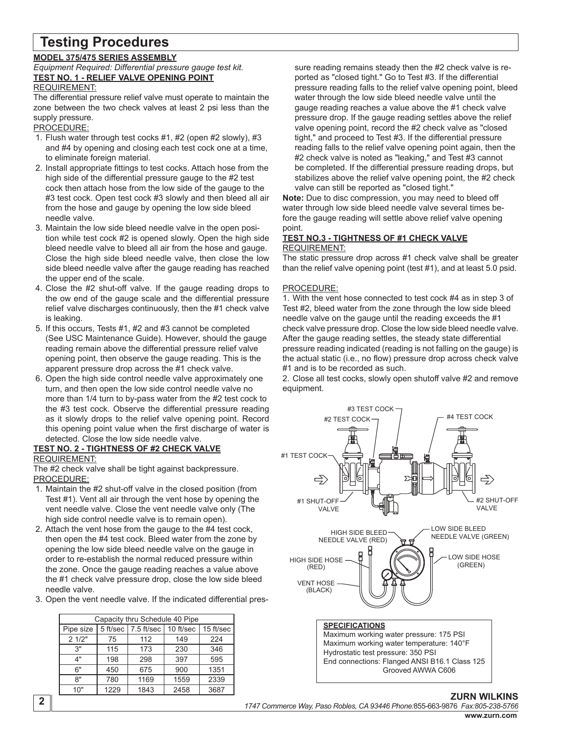## **Testing Procedures**

#### **MODEL 375/475 SERIES ASSEMBLY**

*Equipment Required: Differential pressure gauge test kit.* **TEST NO. 1 - RELIEF VALVE OPENING POINT** REQUIREMENT:

The differential pressure relief valve must operate to maintain the zone between the two check valves at least 2 psi less than the supply pressure.

PROCEDURE:

- 1. Flush water through test cocks #1, #2 (open #2 slowly), #3 and #4 by opening and closing each test cock one at a time, to eliminate foreign material.
- 2. Install appropriate fittings to test cocks. Attach hose from the high side of the differential pressure gauge to the #2 test cock then attach hose from the low side of the gauge to the #3 test cock. Open test cock #3 slowly and then bleed all air from the hose and gauge by opening the low side bleed needle valve.
- 3. Maintain the low side bleed needle valve in the open position while test cock #2 is opened slowly. Open the high side bleed needle valve to bleed all air from the hose and gauge. Close the high side bleed needle valve, then close the low side bleed needle valve after the gauge reading has reached the upper end of the scale.
- 4. Close the #2 shut-off valve. If the gauge reading drops to the ow end of the gauge scale and the differential pressure relief valve discharges continuously, then the #1 check valve is leaking.
- 5. If this occurs, Tests #1, #2 and #3 cannot be completed (See USC Maintenance Guide). However, should the gauge reading remain above the differential pressure relief valve opening point, then observe the gauge reading. This is the apparent pressure drop across the #1 check valve.
- 6. Open the high side control needle valve approximately one turn, and then open the low side control needle valve no more than 1/4 turn to by-pass water from the #2 test cock to the #3 test cock. Observe the differential pressure reading as it slowly drops to the relief valve opening point. Record this opening point value when the first discharge of water is detected. Close the low side needle valve.

### **TEST NO. 2 - TIGHTNESS OF #2 CHECK VALVE**

#### REQUIREMENT:

The #2 check valve shall be tight against backpressure. PROCEDURE:

- 1. Maintain the #2 shut-off valve in the closed position (from Test #1). Vent all air through the vent hose by opening the vent needle valve. Close the vent needle valve only (The high side control needle valve is to remain open).
- 2. Attach the vent hose from the gauge to the #4 test cock, then open the #4 test cock. Bleed water from the zone by opening the low side bleed needle valve on the gauge in order to re-establish the normal reduced pressure within the zone. Once the gauge reading reaches a value above the #1 check valve pressure drop, close the low side bleed needle valve.
- 3. Open the vent needle valve. If the indicated differential pres-

| Capacity thru Schedule 40 Pipe |          |            |           |           |  |  |
|--------------------------------|----------|------------|-----------|-----------|--|--|
| Pipe size                      | 5 ft/sec | 7.5 ft/sec | 10 ft/sec | 15 ft/sec |  |  |
| 21/2"                          | 75       | 112        | 149       | 224       |  |  |
| 3"                             | 115      | 173        | 230       | 346       |  |  |
| 4"                             | 198      | 298        | 397       | 595       |  |  |
| 6"                             | 450      | 675        | 900       | 1351      |  |  |
| ጸ"                             | 780      | 1169       | 1559      | 2339      |  |  |
| 10"                            | 1229     | 1843       | 2458      | 3687      |  |  |

sure reading remains steady then the #2 check valve is reported as "closed tight." Go to Test #3. If the differential pressure reading falls to the relief valve opening point, bleed water through the low side bleed needle valve until the gauge reading reaches a value above the #1 check valve pressure drop. If the gauge reading settles above the relief valve opening point, record the #2 check valve as "closed tight," and proceed to Test #3. If the differential pressure reading falls to the relief valve opening point again, then the #2 check valve is noted as "leaking," and Test #3 cannot be completed. If the differential pressure reading drops, but stabilizes above the relief valve opening point, the #2 check valve can still be reported as "closed tight."

**Note:** Due to disc compression, you may need to bleed off water through low side bleed needle valve several times before the gauge reading will settle above relief valve opening point.

#### **TEST NO.3 - TIGHTNESS OF #1 CHECK VALVE** REQUIREMENT:

The static pressure drop across #1 check valve shall be greater than the relief valve opening point (test #1), and at least 5.0 psid.

#### PROCEDURE:

1. With the vent hose connected to test cock #4 as in step 3 of Test #2, bleed water from the zone through the low side bleed needle valve on the gauge until the reading exceeds the #1 check valve pressure drop. Close the low side bleed needle valve. After the gauge reading settles, the steady state differential pressure reading indicated (reading is not falling on the gauge) is the actual static (i.e., no flow) pressure drop across check valve #1 and is to be recorded as such.

2. Close all test cocks, slowly open shutoff valve #2 and remove equipment.



**SPECIFICATIONS** Maximum working water pressure: 175 PSI Maximum working water temperature: 140°F Hydrostatic test pressure: 350 PSI End connections: Flanged ANSI B16.1 Class 125 Grooved AWWA C606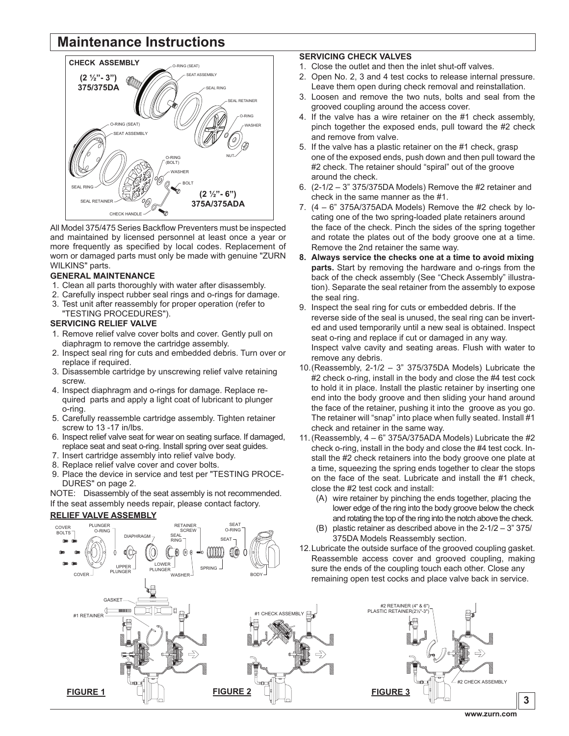### **Maintenance Instructions**



All Model 375/475 Series Backflow Preventers must be inspected and maintained by licensed personnel at least once a year or more frequently as specified by local codes. Replacement of worn or damaged parts must only be made with genuine "ZURN WILKINS" parts.

#### **GENERAL MAINTENANCE**

- 1. Clean all parts thoroughly with water after disassembly.
- 2. Carefully inspect rubber seal rings and o-rings for damage.
- 3. Test unit after reassembly for proper operation (refer to "TESTING PROCEDURES").

#### **SERVICING RELIEF VALVE**

- 1. Remove relief valve cover bolts and cover. Gently pull on diaphragm to remove the cartridge assembly.
- 2. Inspect seal ring for cuts and embedded debris. Turn over or replace if required.
- 3. Disassemble cartridge by unscrewing relief valve retaining screw.
- 4. Inspect diaphragm and o-rings for damage. Replace required parts and apply a light coat of lubricant to plunger o-ring.
- 5. Carefully reassemble cartridge assembly. Tighten retainer screw to 13 -17 in/lbs.
- 6. Inspect relief valve seat for wear on seating surface. If damaged, replace seat and seat o-ring. Install spring over seat guides.
- 7. Insert cartridge assembly into relief valve body.
- 8. Replace relief valve cover and cover bolts.

DIAPHRAGM

UPPER PLUNGER

de)

9. Place the device in service and test per "TESTING PROCE-DURES" on page 2.

NOTE: Disassembly of the seat assembly is not recommended. If the seat assembly needs repair, please contact factory.

> SEAL RING

RETAINER SCREW

SEAT

SEAT O-RING

((0

BODY

SPRING

WASHER

LOWER PLUNGER

 $\left\langle 0\right\rangle$ 

#### **RELIEF VALVE ASSEMBLY** PLUNGER O-RING

COVER BOLTS

COVER

#### **SERVICING CHECK VALVES**

- 1. Close the outlet and then the inlet shut-off valves.
- 2. Open No. 2, 3 and 4 test cocks to release internal pressure. Leave them open during check removal and reinstallation.
- 3. Loosen and remove the two nuts, bolts and seal from the grooved coupling around the access cover.
- 4. If the valve has a wire retainer on the #1 check assembly, pinch together the exposed ends, pull toward the #2 check and remove from valve.
- 5. If the valve has a plastic retainer on the #1 check, grasp one of the exposed ends, push down and then pull toward the #2 check. The retainer should "spiral" out of the groove around the check.
- 6. (2-1/2 3" 375/375DA Models) Remove the #2 retainer and check in the same manner as the #1.
- 7. (4 6" 375A/375ADA Models) Remove the #2 check by locating one of the two spring-loaded plate retainers around the face of the check. Pinch the sides of the spring together and rotate the plates out of the body groove one at a time. Remove the 2nd retainer the same way.
- **8. Always service the checks one at a time to avoid mixing parts.** Start by removing the hardware and o-rings from the back of the check assembly (See "Check Assembly" illustration). Separate the seal retainer from the assembly to expose the seal ring.
- 9. Inspect the seal ring for cuts or embedded debris. If the reverse side of the seal is unused, the seal ring can be inverted and used temporarily until a new seal is obtained. Inspect seat o-ring and replace if cut or damaged in any way. Inspect valve cavity and seating areas. Flush with water to remove any debris.
- 10.(Reassembly, 2-1/2 3" 375/375DA Models) Lubricate the #2 check o-ring, install in the body and close the #4 test cock to hold it in place. Install the plastic retainer by inserting one end into the body groove and then sliding your hand around the face of the retainer, pushing it into the groove as you go. The retainer will "snap" into place when fully seated. Install #1 check and retainer in the same way.
- 11.(Reassembly, 4 6" 375A/375ADA Models) Lubricate the #2 check o-ring, install in the body and close the #4 test cock. Install the #2 check retainers into the body groove one plate at a time, squeezing the spring ends together to clear the stops on the face of the seat. Lubricate and install the #1 check, close the #2 test cock and install:
	- (A) wire retainer by pinching the ends together, placing the lower edge of the ring into the body groove below the check and rotating the top of the ring into the notch above the check.
	- (B) plastic retainer as described above in the 2-1/2 3" 375/ 375DA Models Reassembly section.
- 12.Lubricate the outside surface of the grooved coupling gasket. Reassemble access cover and grooved coupling, making sure the ends of the coupling touch each other. Close any remaining open test cocks and place valve back in service.